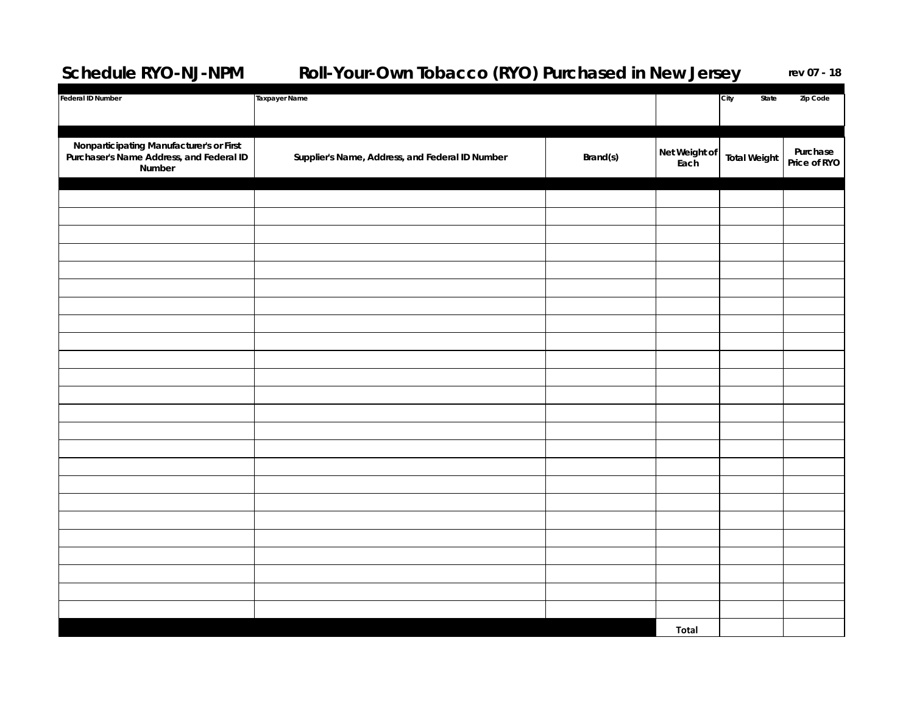## **Schedule RYO-NJ-NPM Roll-Your-Own Tobacco (RYO) Purchased in New Jersey** rev 07 - 18

| <b>Federal ID Number</b>                                                                       | <b>Taxpayer Name</b>                            |          |                       | City<br>State       | Zip Code                 |
|------------------------------------------------------------------------------------------------|-------------------------------------------------|----------|-----------------------|---------------------|--------------------------|
| Nonparticipating Manufacturer's or First<br>Purchaser's Name Address, and Federal ID<br>Number | Supplier's Name, Address, and Federal ID Number | Brand(s) | Net Weight of<br>Each | <b>Total Weight</b> | Purchase<br>Price of RYO |
|                                                                                                |                                                 |          |                       |                     |                          |
|                                                                                                |                                                 |          |                       |                     |                          |
|                                                                                                |                                                 |          |                       |                     |                          |
|                                                                                                |                                                 |          |                       |                     |                          |
|                                                                                                |                                                 |          |                       |                     |                          |
|                                                                                                |                                                 |          |                       |                     |                          |
|                                                                                                |                                                 |          |                       |                     |                          |
|                                                                                                |                                                 |          |                       |                     |                          |
|                                                                                                |                                                 |          |                       |                     |                          |
|                                                                                                |                                                 |          |                       |                     |                          |
|                                                                                                |                                                 |          |                       |                     |                          |
|                                                                                                |                                                 |          |                       |                     |                          |
|                                                                                                |                                                 |          |                       |                     |                          |
|                                                                                                |                                                 |          |                       |                     |                          |
|                                                                                                |                                                 |          |                       |                     |                          |
|                                                                                                |                                                 |          |                       |                     |                          |
|                                                                                                |                                                 |          |                       |                     |                          |
|                                                                                                |                                                 |          |                       |                     |                          |
|                                                                                                |                                                 |          |                       |                     |                          |
|                                                                                                |                                                 |          |                       |                     |                          |
|                                                                                                |                                                 |          |                       |                     |                          |
|                                                                                                |                                                 |          |                       |                     |                          |
|                                                                                                |                                                 |          |                       |                     |                          |
|                                                                                                |                                                 |          | <b>Total</b>          |                     |                          |